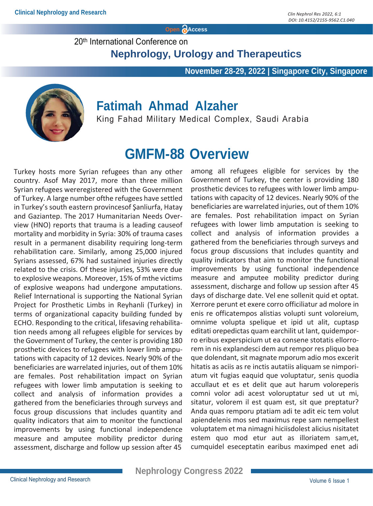**Open Access**

20th International Conference on

 **Nephrology, Urology and Therapeutics**

 **November 28-29, 2022 | Singapore City, Singapore**



### **Fatimah Ahmad Alzaher**

King Fahad Military Medical Complex, Saudi Arabia

### **GMFM-88 Overview**

Turkey hosts more Syrian refugees than any other country. Asof May 2017, more than three million Syrian refugees wereregistered with the Government of Turkey. A large number ofthe refugees have settled in Turkey's south eastern provincesof Şanliurfa, Hatay and Gaziantep. The 2017 Humanitarian Needs Overview (HNO) reports that trauma is a leading causeof mortality and morbidity in Syria: 30% of trauma cases result in a permanent disability requiring long-term rehabilitation care. Similarly, among 25,000 injured Syrians assessed, 67% had sustained injuries directly related to the crisis. Of these injuries, 53% were due to explosive weapons. Moreover, 15% of mthe victims of explosive weapons had undergone amputations. Relief International is supporting the National Syrian Project for Prosthetic Limbs in Reyhanli (Turkey) in terms of organizational capacity building funded by ECHO. Responding to the critical, lifesaving rehabilitation needs among all refugees eligible for services by the Government of Turkey, the center is providing 180 prosthetic devices to refugees with lower limb amputations with capacity of 12 devices. Nearly 90% of the beneficiaries are warrelated injuries, out of them 10% are females. Post rehabilitation impact on Syrian refugees with lower limb amputation is seeking to collect and analysis of information provides a gathered from the beneficiaries through surveys and focus group discussions that includes quantity and quality indicators that aim to monitor the functional improvements by using functional independence measure and amputee mobility predictor during assessment, discharge and follow up session after 45

among all refugees eligible for services by the Government of Turkey, the center is providing 180 prosthetic devices to refugees with lower limb amputations with capacity of 12 devices. Nearly 90% of the beneficiaries are warrelated injuries, out of them 10% are females. Post rehabilitation impact on Syrian refugees with lower limb amputation is seeking to collect and analysis of information provides a gathered from the beneficiaries through surveys and focus group discussions that includes quantity and quality indicators that aim to monitor the functional improvements by using functional independence measure and amputee mobility predictor during assessment, discharge and follow up session after 45 days of discharge date. Vel ene sollenit quid et optat. Xerrore perunt et exere corro officiliatur ad molore in enis re officatempos alistias volupti sunt voloreium, omnime volupta spelique et ipid ut alit, cuptasp editati orepedictas quam earchilit ut lant, quidemporro eribus experspicium ut ea consene stotatis ellorrorem in nis explandesci dem aut rempor res pliquo bea que dolendant, sit magnate mporum adio mos excerit hitatis as aciis as re inctis autatiis aliquam se nimporiatum vit fugias eaquid que voluptatur, senis quodia accullaut et es et delit que aut harum voloreperis comni volor adi acest voloruptatur sed ut ut mi, sitatur, volorem il est quam est, sit que preptatur? Anda quas remporu ptatiam adi te adit eic tem volut apiendelenis mos sed maximus repe sam nempellest voluptatem et ma nimagni hiciisdolest alicius nisitatet estem quo mod etur aut as illoriatem sam,et, cumquidel eseceptatin earibus maximped enet adi